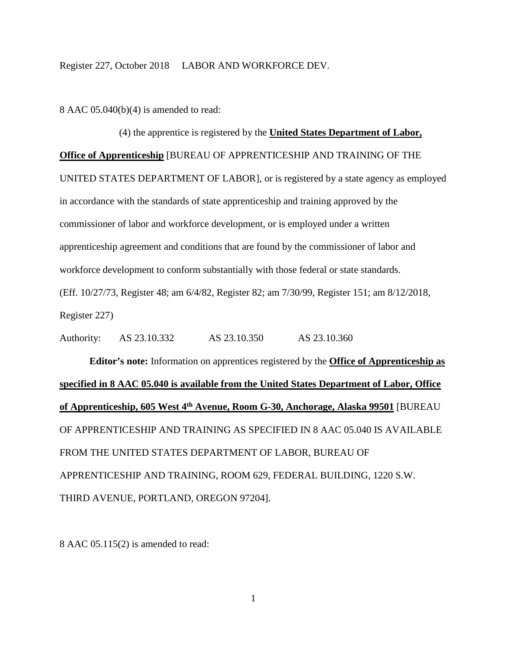8 AAC 05.040(b)(4) is amended to read:

(4) the apprentice is registered by the **United States Department of Labor, Office of Apprenticeship** [BUREAU OF APPRENTICESHIP AND TRAINING OF THE UNITED STATES DEPARTMENT OF LABOR], or is registered by a state agency as employed in accordance with the standards of state apprenticeship and training approved by the commissioner of labor and workforce development, or is employed under a written apprenticeship agreement and conditions that are found by the commissioner of labor and workforce development to conform substantially with those federal or state standards. (Eff. 10/27/73, Register 48; am 6/4/82, Register 82; am 7/30/99, Register 151; am 8/12/2018, Register 227)

Authority: AS 23.10.332 AS 23.10.350 AS 23.10.360

**Editor's note:** Information on apprentices registered by the **Office of Apprenticeship as specified in 8 AAC 05.040 is available from the United States Department of Labor, Office of Apprenticeship, 605 West 4th Avenue, Room G-30, Anchorage, Alaska 99501** [BUREAU OF APPRENTICESHIP AND TRAINING AS SPECIFIED IN 8 AAC 05.040 IS AVAILABLE FROM THE UNITED STATES DEPARTMENT OF LABOR, BUREAU OF APPRENTICESHIP AND TRAINING, ROOM 629, FEDERAL BUILDING, 1220 S.W. THIRD AVENUE, PORTLAND, OREGON 97204].

8 AAC 05.115(2) is amended to read: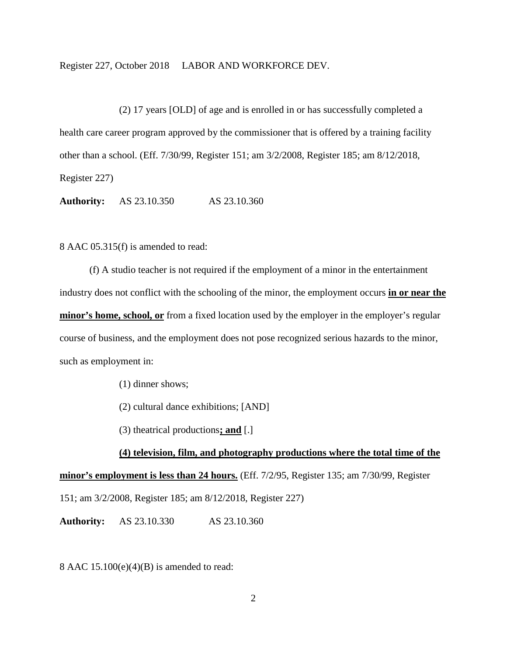(2) 17 years [OLD] of age and is enrolled in or has successfully completed a health care career program approved by the commissioner that is offered by a training facility other than a school. (Eff. 7/30/99, Register 151; am 3/2/2008, Register 185; am 8/12/2018, Register 227)

**Authority:** AS 23.10.350 AS 23.10.360

8 AAC 05.315(f) is amended to read:

(f) A studio teacher is not required if the employment of a minor in the entertainment industry does not conflict with the schooling of the minor, the employment occurs **in or near the minor's home, school, or** from a fixed location used by the employer in the employer's regular course of business, and the employment does not pose recognized serious hazards to the minor, such as employment in:

(1) dinner shows;

(2) cultural dance exhibitions; [AND]

(3) theatrical productions**; and** [.]

## **(4) television, film, and photography productions where the total time of the**

**minor's employment is less than 24 hours.** (Eff. 7/2/95, Register 135; am 7/30/99, Register 151; am 3/2/2008, Register 185; am 8/12/2018, Register 227)

**Authority:** AS 23.10.330 AS 23.10.360

8 AAC  $15.100(e)(4)(B)$  is amended to read: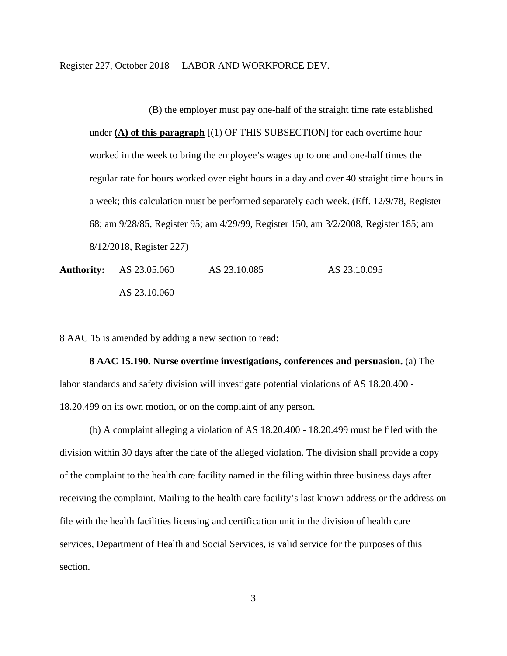(B) the employer must pay one-half of the straight time rate established under **(A) of this paragraph** [(1) OF THIS SUBSECTION] for each overtime hour worked in the week to bring the employee's wages up to one and one-half times the regular rate for hours worked over eight hours in a day and over 40 straight time hours in a week; this calculation must be performed separately each week. (Eff. 12/9/78, Register 68; am 9/28/85, Register 95; am 4/29/99, Register 150, am 3/2/2008, Register 185; am 8/12/2018, Register 227)

Authority: AS 23.05.060 AS 23.10.085 AS 23.10.095 AS 23.10.060

8 AAC 15 is amended by adding a new section to read:

**8 AAC 15.190. Nurse overtime investigations, conferences and persuasion.** (a) The labor standards and safety division will investigate potential violations of AS 18.20.400 - 18.20.499 on its own motion, or on the complaint of any person.

(b) A complaint alleging a violation of AS 18.20.400 - 18.20.499 must be filed with the division within 30 days after the date of the alleged violation. The division shall provide a copy of the complaint to the health care facility named in the filing within three business days after receiving the complaint. Mailing to the health care facility's last known address or the address on file with the health facilities licensing and certification unit in the division of health care services, Department of Health and Social Services, is valid service for the purposes of this section.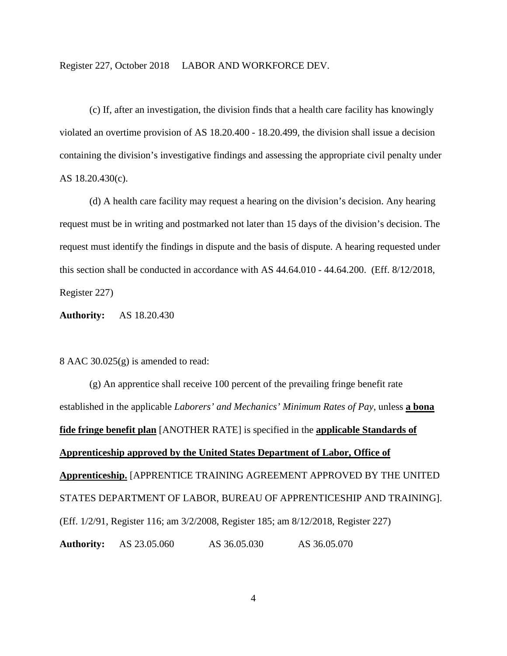(c) If, after an investigation, the division finds that a health care facility has knowingly violated an overtime provision of AS 18.20.400 - 18.20.499, the division shall issue a decision containing the division's investigative findings and assessing the appropriate civil penalty under AS 18.20.430(c).

(d) A health care facility may request a hearing on the division's decision. Any hearing request must be in writing and postmarked not later than 15 days of the division's decision. The request must identify the findings in dispute and the basis of dispute. A hearing requested under this section shall be conducted in accordance with AS 44.64.010 - 44.64.200. (Eff. 8/12/2018, Register 227)

**Authority:** AS 18.20.430

8 AAC 30.025(g) is amended to read:

(g) An apprentice shall receive 100 percent of the prevailing fringe benefit rate established in the applicable *Laborers' and Mechanics' Minimum Rates of Pay*, unless **a bona fide fringe benefit plan** [ANOTHER RATE] is specified in the **applicable Standards of Apprenticeship approved by the United States Department of Labor, Office of Apprenticeship.** [APPRENTICE TRAINING AGREEMENT APPROVED BY THE UNITED STATES DEPARTMENT OF LABOR, BUREAU OF APPRENTICESHIP AND TRAINING]. (Eff. 1/2/91, Register 116; am 3/2/2008, Register 185; am 8/12/2018, Register 227) **Authority:** AS 23.05.060 AS 36.05.030 AS 36.05.070

4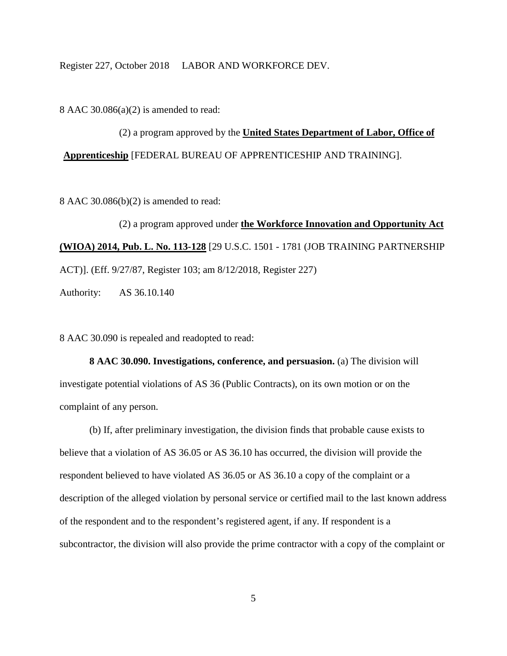8 AAC 30.086(a)(2) is amended to read:

(2) a program approved by the **United States Department of Labor, Office of Apprenticeship** [FEDERAL BUREAU OF APPRENTICESHIP AND TRAINING].

8 AAC 30.086(b)(2) is amended to read:

(2) a program approved under **the Workforce Innovation and Opportunity Act (WIOA) 2014, Pub. L. No. 113-128** [29 U.S.C. 1501 - 1781 (JOB TRAINING PARTNERSHIP ACT)]. (Eff. 9/27/87, Register 103; am 8/12/2018, Register 227)

Authority: AS 36.10.140

8 AAC 30.090 is repealed and readopted to read:

**8 AAC 30.090. Investigations, conference, and persuasion.** (a) The division will investigate potential violations of AS 36 (Public Contracts), on its own motion or on the complaint of any person.

(b) If, after preliminary investigation, the division finds that probable cause exists to believe that a violation of AS 36.05 or AS 36.10 has occurred, the division will provide the respondent believed to have violated AS 36.05 or AS 36.10 a copy of the complaint or a description of the alleged violation by personal service or certified mail to the last known address of the respondent and to the respondent's registered agent, if any. If respondent is a subcontractor, the division will also provide the prime contractor with a copy of the complaint or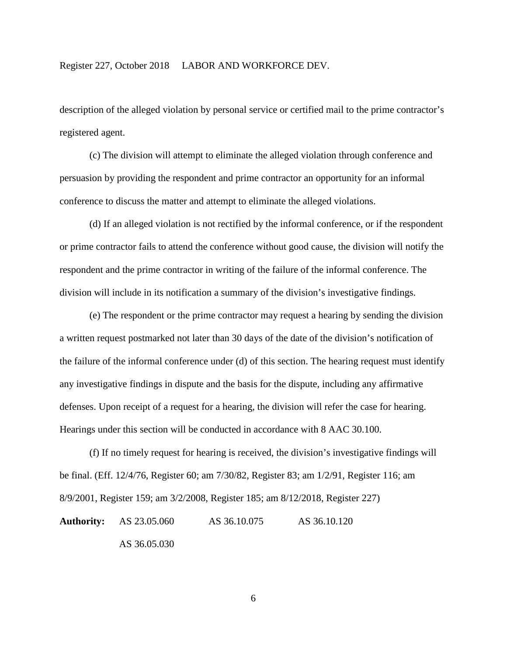description of the alleged violation by personal service or certified mail to the prime contractor's registered agent.

(c) The division will attempt to eliminate the alleged violation through conference and persuasion by providing the respondent and prime contractor an opportunity for an informal conference to discuss the matter and attempt to eliminate the alleged violations.

(d) If an alleged violation is not rectified by the informal conference, or if the respondent or prime contractor fails to attend the conference without good cause, the division will notify the respondent and the prime contractor in writing of the failure of the informal conference. The division will include in its notification a summary of the division's investigative findings.

(e) The respondent or the prime contractor may request a hearing by sending the division a written request postmarked not later than 30 days of the date of the division's notification of the failure of the informal conference under (d) of this section. The hearing request must identify any investigative findings in dispute and the basis for the dispute, including any affirmative defenses. Upon receipt of a request for a hearing, the division will refer the case for hearing. Hearings under this section will be conducted in accordance with 8 AAC 30.100.

(f) If no timely request for hearing is received, the division's investigative findings will be final. (Eff. 12/4/76, Register 60; am 7/30/82, Register 83; am 1/2/91, Register 116; am 8/9/2001, Register 159; am 3/2/2008, Register 185; am 8/12/2018, Register 227) **Authority:** AS 23.05.060 AS 36.10.075 AS 36.10.120 AS 36.05.030

6